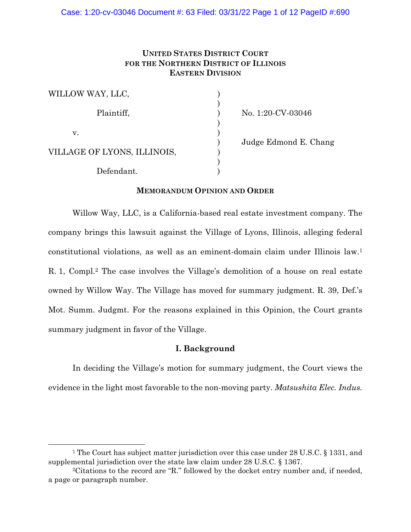# **UNITED STATES DISTRICT COURT FOR THE NORTHERN DISTRICT OF ILLINOIS EASTERN DIVISION**

| WILLOW WAY, LLC,            |  |
|-----------------------------|--|
|                             |  |
| Plaintiff,                  |  |
|                             |  |
| V.                          |  |
|                             |  |
| VILLAGE OF LYONS, ILLINOIS, |  |
|                             |  |
| Defendant.                  |  |

No. 1:20-CV-03046

) Judge Edmond E. Chang

## **MEMORANDUM OPINION AND ORDER**

Willow Way, LLC, is a California-based real estate investment company. The company brings this lawsuit against the Village of Lyons, Illinois, alleging federal constitutional violations, as well as an eminent-domain claim under Illinois law.1 R. 1, Compl.<sup>2</sup> The case involves the Village's demolition of a house on real estate owned by Willow Way. The Village has moved for summary judgment. R. 39, Def.'s Mot. Summ. Judgmt. For the reasons explained in this Opinion, the Court grants summary judgment in favor of the Village.

# **I. Background**

In deciding the Village's motion for summary judgment, the Court views the evidence in the light most favorable to the non-moving party. *Matsushita Elec. Indus.* 

<sup>&</sup>lt;sup>1</sup> The Court has subject matter jurisdiction over this case under 28 U.S.C. § 1331, and supplemental jurisdiction over the state law claim under 28 U.S.C. § 1367.

<sup>2</sup>Citations to the record are "R." followed by the docket entry number and, if needed, a page or paragraph number.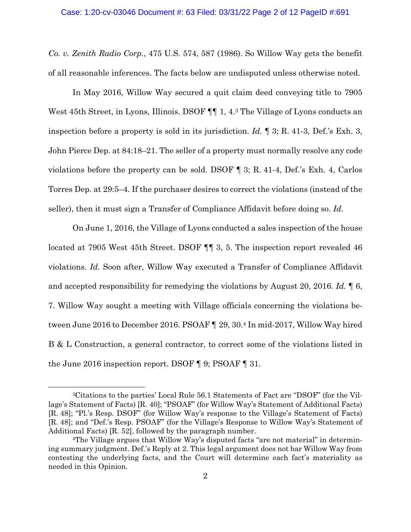*Co. v. Zenith Radio Corp.*, 475 U.S. 574, 587 (1986). So Willow Way gets the benefit of all reasonable inferences. The facts below are undisputed unless otherwise noted.

In May 2016, Willow Way secured a quit claim deed conveying title to 7905 West 45th Street, in Lyons, Illinois. DSOF  $\P\P$  1, 4.<sup>3</sup> The Village of Lyons conducts an inspection before a property is sold in its jurisdiction. *Id.* ¶ 3; R. 41-3, Def.'s Exh. 3, John Pierce Dep. at 84:18–21. The seller of a property must normally resolve any code violations before the property can be sold. DSOF ¶ 3; R. 41-4, Def.'s Exh. 4, Carlos Torres Dep. at 29:5–4. If the purchaser desires to correct the violations (instead of the seller), then it must sign a Transfer of Compliance Affidavit before doing so. *Id.*

On June 1, 2016, the Village of Lyons conducted a sales inspection of the house located at 7905 West 45th Street. DSOF  $\P$  3, 5. The inspection report revealed 46 violations. *Id.* Soon after, Willow Way executed a Transfer of Compliance Affidavit and accepted responsibility for remedying the violations by August 20, 2016. *Id.* ¶ 6, 7. Willow Way sought a meeting with Village officials concerning the violations between June 2016 to December 2016. PSOAF ¶ 29, 30.4 In mid-2017, Willow Way hired B & L Construction, a general contractor, to correct some of the violations listed in the June 2016 inspection report. DSOF ¶ 9; PSOAF ¶ 31.

<sup>3</sup>Citations to the parties' Local Rule 56.1 Statements of Fact are "DSOF" (for the Village's Statement of Facts) [R. 40]; "PSOAF" (for Willow Way's Statement of Additional Facts) [R. 48]; "Pl.'s Resp. DSOF" (for Willow Way's response to the Village's Statement of Facts) [R. 48]; and "Def.'s Resp. PSOAF" (for the Village's Response to Willow Way's Statement of Additional Facts) [R. 52], followed by the paragraph number.

<sup>4</sup>The Village argues that Willow Way's disputed facts "are not material" in determining summary judgment. Def.'s Reply at 2. This legal argument does not bar Willow Way from contesting the underlying facts, and the Court will determine each fact's materiality as needed in this Opinion.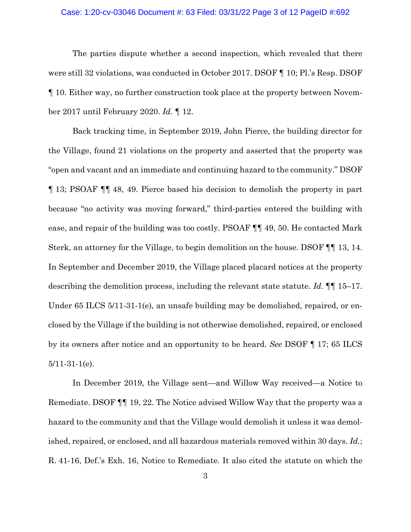## Case: 1:20-cv-03046 Document #: 63 Filed: 03/31/22 Page 3 of 12 PageID #:692

The parties dispute whether a second inspection, which revealed that there were still 32 violations, was conducted in October 2017. DSOF ¶ 10; Pl.'s Resp. DSOF ¶ 10. Either way, no further construction took place at the property between November 2017 until February 2020. *Id.* ¶ 12.

Back tracking time, in September 2019, John Pierce, the building director for the Village, found 21 violations on the property and asserted that the property was "open and vacant and an immediate and continuing hazard to the community." DSOF ¶ 13; PSOAF ¶¶ 48, 49. Pierce based his decision to demolish the property in part because "no activity was moving forward," third-parties entered the building with ease, and repair of the building was too costly. PSOAF ¶¶ 49, 50. He contacted Mark Sterk, an attorney for the Village, to begin demolition on the house. DSOF ¶¶ 13, 14. In September and December 2019, the Village placed placard notices at the property describing the demolition process, including the relevant state statute. *Id.* ¶¶ 15–17. Under 65 ILCS 5/11-31-1(e), an unsafe building may be demolished, repaired, or enclosed by the Village if the building is not otherwise demolished, repaired, or enclosed by its owners after notice and an opportunity to be heard. *See* DSOF ¶ 17; 65 ILCS 5/11-31-1(e).

In December 2019, the Village sent—and Willow Way received—a Notice to Remediate. DSOF ¶¶ 19, 22. The Notice advised Willow Way that the property was a hazard to the community and that the Village would demolish it unless it was demolished, repaired, or enclosed, and all hazardous materials removed within 30 days. *Id.*; R. 41-16, Def.'s Exh. 16, Notice to Remediate. It also cited the statute on which the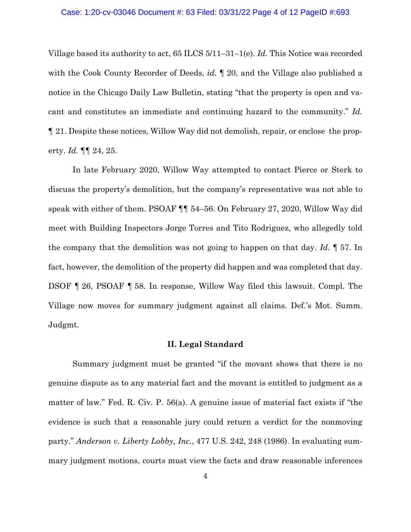#### Case: 1:20-cv-03046 Document #: 63 Filed: 03/31/22 Page 4 of 12 PageID #:693

Village based its authority to act, 65 ILCS 5/11–31–1(e). *Id.* This Notice was recorded with the Cook County Recorder of Deeds, *id.* ¶ 20, and the Village also published a notice in the Chicago Daily Law Bulletin, stating "that the property is open and vacant and constitutes an immediate and continuing hazard to the community." *Id.* ¶ 21. Despite these notices, Willow Way did not demolish, repair, or enclose the property. *Id.* ¶¶ 24, 25.

In late February 2020, Willow Way attempted to contact Pierce or Sterk to discuss the property's demolition, but the company's representative was not able to speak with either of them. PSOAF ¶¶ 54–56. On February 27, 2020, Willow Way did meet with Building Inspectors Jorge Torres and Tito Rodriguez, who allegedly told the company that the demolition was not going to happen on that day. *Id.* ¶ 57. In fact, however, the demolition of the property did happen and was completed that day. DSOF ¶ 26, PSOAF ¶ 58. In response, Willow Way filed this lawsuit. Compl. The Village now moves for summary judgment against all claims. Def.'s Mot. Summ. Judgmt.

## **II. Legal Standard**

Summary judgment must be granted "if the movant shows that there is no genuine dispute as to any material fact and the movant is entitled to judgment as a matter of law." Fed. R. Civ. P. 56(a). A genuine issue of material fact exists if "the evidence is such that a reasonable jury could return a verdict for the nonmoving party." *Anderson v. Liberty Lobby, Inc.*, 477 U.S. 242, 248 (1986). In evaluating summary judgment motions, courts must view the facts and draw reasonable inferences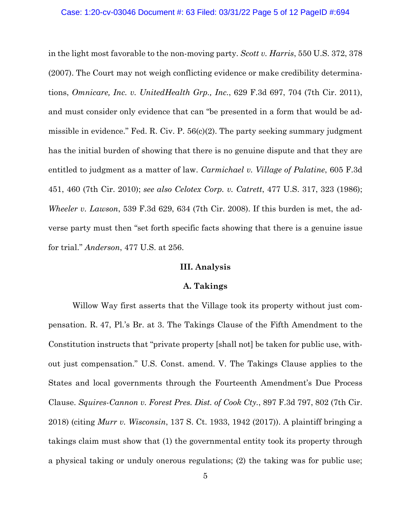#### Case: 1:20-cv-03046 Document #: 63 Filed: 03/31/22 Page 5 of 12 PageID #:694

in the light most favorable to the non-moving party. *Scott v. Harris*, 550 U.S. 372, 378 (2007). The Court may not weigh conflicting evidence or make credibility determinations, *Omnicare, Inc. v. UnitedHealth Grp., Inc.*, 629 F.3d 697, 704 (7th Cir. 2011), and must consider only evidence that can "be presented in a form that would be admissible in evidence." Fed. R. Civ. P.  $56(c)(2)$ . The party seeking summary judgment has the initial burden of showing that there is no genuine dispute and that they are entitled to judgment as a matter of law. *Carmichael v. Village of Palatine*, 605 F.3d 451, 460 (7th Cir. 2010); *see also Celotex Corp. v. Catrett*, 477 U.S. 317, 323 (1986); *Wheeler v. Lawson*, 539 F.3d 629, 634 (7th Cir. 2008). If this burden is met, the adverse party must then "set forth specific facts showing that there is a genuine issue for trial." *Anderson*, 477 U.S. at 256.

### **III. Analysis**

#### **A. Takings**

 Willow Way first asserts that the Village took its property without just compensation. R. 47, Pl.'s Br. at 3. The Takings Clause of the Fifth Amendment to the Constitution instructs that "private property [shall not] be taken for public use, without just compensation." U.S. Const. amend. V. The Takings Clause applies to the States and local governments through the Fourteenth Amendment's Due Process Clause. *Squires-Cannon v. Forest Pres. Dist. of Cook Cty.*, 897 F.3d 797, 802 (7th Cir. 2018) (citing *Murr v. Wisconsin*, 137 S. Ct. 1933, 1942 (2017)). A plaintiff bringing a takings claim must show that (1) the governmental entity took its property through a physical taking or unduly onerous regulations; (2) the taking was for public use;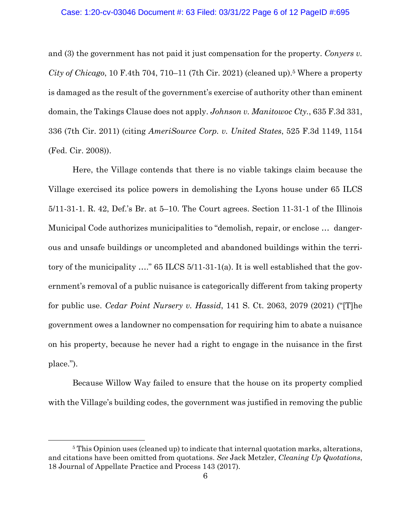### Case: 1:20-cv-03046 Document #: 63 Filed: 03/31/22 Page 6 of 12 PageID #:695

and (3) the government has not paid it just compensation for the property. *Conyers v. City of Chicago*, 10 F.4th 704, 710–11 (7th Cir. 2021) (cleaned up).5 Where a property is damaged as the result of the government's exercise of authority other than eminent domain, the Takings Clause does not apply. *Johnson v. Manitowoc Cty.*, 635 F.3d 331, 336 (7th Cir. 2011) (citing *AmeriSource Corp. v. United States*, 525 F.3d 1149, 1154 (Fed. Cir. 2008)).

Here, the Village contends that there is no viable takings claim because the Village exercised its police powers in demolishing the Lyons house under 65 ILCS 5/11-31-1. R. 42, Def.'s Br. at 5–10. The Court agrees. Section 11-31-1 of the Illinois Municipal Code authorizes municipalities to "demolish, repair, or enclose … dangerous and unsafe buildings or uncompleted and abandoned buildings within the territory of the municipality …." 65 ILCS 5/11-31-1(a). It is well established that the government's removal of a public nuisance is categorically different from taking property for public use. *Cedar Point Nursery v. Hassid*, 141 S. Ct. 2063, 2079 (2021) ("[T]he government owes a landowner no compensation for requiring him to abate a nuisance on his property, because he never had a right to engage in the nuisance in the first place.").

Because Willow Way failed to ensure that the house on its property complied with the Village's building codes, the government was justified in removing the public

<sup>&</sup>lt;sup>5</sup> This Opinion uses (cleaned up) to indicate that internal quotation marks, alterations, and citations have been omitted from quotations. *See* Jack Metzler, *Cleaning Up Quotations*, 18 Journal of Appellate Practice and Process 143 (2017).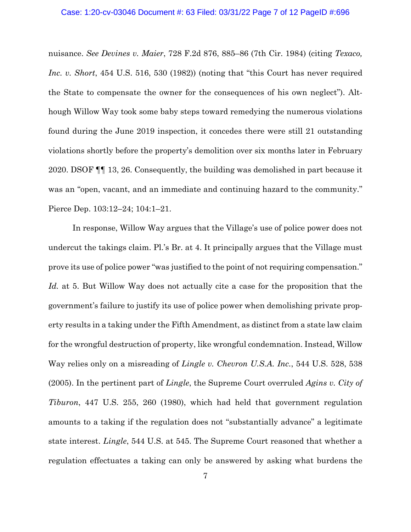### Case: 1:20-cv-03046 Document #: 63 Filed: 03/31/22 Page 7 of 12 PageID #:696

nuisance. *See Devines v. Maier*, 728 F.2d 876, 885–86 (7th Cir. 1984) (citing *Texaco, Inc. v. Short*, 454 U.S. 516, 530 (1982)) (noting that "this Court has never required the State to compensate the owner for the consequences of his own neglect"). Although Willow Way took some baby steps toward remedying the numerous violations found during the June 2019 inspection, it concedes there were still 21 outstanding violations shortly before the property's demolition over six months later in February 2020. DSOF ¶¶ 13, 26. Consequently, the building was demolished in part because it was an "open, vacant, and an immediate and continuing hazard to the community." Pierce Dep. 103:12–24; 104:1–21.

In response, Willow Way argues that the Village's use of police power does not undercut the takings claim. Pl.'s Br. at 4. It principally argues that the Village must prove its use of police power "was justified to the point of not requiring compensation." *Id.* at 5. But Willow Way does not actually cite a case for the proposition that the government's failure to justify its use of police power when demolishing private property results in a taking under the Fifth Amendment, as distinct from a state law claim for the wrongful destruction of property, like wrongful condemnation. Instead, Willow Way relies only on a misreading of *Lingle v. Chevron U.S.A. Inc.*, 544 U.S. 528, 538 (2005). In the pertinent part of *Lingle*, the Supreme Court overruled *Agins v. City of Tiburon*, 447 U.S. 255, 260 (1980), which had held that government regulation amounts to a taking if the regulation does not "substantially advance" a legitimate state interest. *Lingle*, 544 U.S. at 545. The Supreme Court reasoned that whether a regulation effectuates a taking can only be answered by asking what burdens the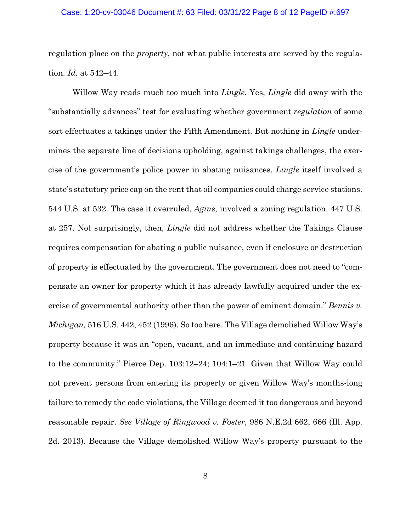### Case: 1:20-cv-03046 Document #: 63 Filed: 03/31/22 Page 8 of 12 PageID #:697

regulation place on the *property*, not what public interests are served by the regulation. *Id.* at 542–44.

Willow Way reads much too much into *Lingle*. Yes, *Lingle* did away with the "substantially advances" test for evaluating whether government *regulation* of some sort effectuates a takings under the Fifth Amendment. But nothing in *Lingle* undermines the separate line of decisions upholding, against takings challenges, the exercise of the government's police power in abating nuisances. *Lingle* itself involved a state's statutory price cap on the rent that oil companies could charge service stations. 544 U.S. at 532. The case it overruled, *Agins*, involved a zoning regulation. 447 U.S. at 257. Not surprisingly, then, *Lingle* did not address whether the Takings Clause requires compensation for abating a public nuisance, even if enclosure or destruction of property is effectuated by the government. The government does not need to "compensate an owner for property which it has already lawfully acquired under the exercise of governmental authority other than the power of eminent domain." *Bennis v. Michigan,* 516 U.S. 442, 452 (1996). So too here. The Village demolished Willow Way's property because it was an "open, vacant, and an immediate and continuing hazard to the community." Pierce Dep. 103:12–24; 104:1–21. Given that Willow Way could not prevent persons from entering its property or given Willow Way's months-long failure to remedy the code violations, the Village deemed it too dangerous and beyond reasonable repair. *See Village of Ringwood v. Foster*, 986 N.E.2d 662, 666 (Ill. App. 2d. 2013). Because the Village demolished Willow Way's property pursuant to the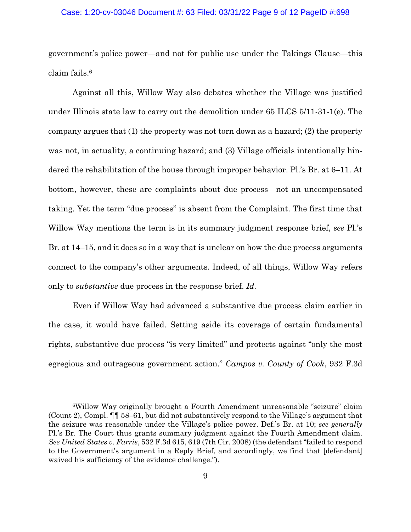### Case: 1:20-cv-03046 Document #: 63 Filed: 03/31/22 Page 9 of 12 PageID #:698

government's police power—and not for public use under the Takings Clause—this claim fails.6

Against all this, Willow Way also debates whether the Village was justified under Illinois state law to carry out the demolition under 65 ILCS 5/11-31-1(e). The company argues that  $(1)$  the property was not torn down as a hazard;  $(2)$  the property was not, in actuality, a continuing hazard; and (3) Village officials intentionally hindered the rehabilitation of the house through improper behavior. Pl.'s Br. at 6–11. At bottom, however, these are complaints about due process—not an uncompensated taking. Yet the term "due process" is absent from the Complaint. The first time that Willow Way mentions the term is in its summary judgment response brief, *see* Pl.'s Br. at 14–15, and it does so in a way that is unclear on how the due process arguments connect to the company's other arguments. Indeed, of all things, Willow Way refers only to *substantive* due process in the response brief. *Id.*

Even if Willow Way had advanced a substantive due process claim earlier in the case, it would have failed. Setting aside its coverage of certain fundamental rights, substantive due process "is very limited" and protects against "only the most egregious and outrageous government action." *Campos v. County of Cook*, 932 F.3d

<sup>6</sup>Willow Way originally brought a Fourth Amendment unreasonable "seizure" claim (Count 2), Compl. ¶¶ 58–61, but did not substantively respond to the Village's argument that the seizure was reasonable under the Village's police power. Def.'s Br. at 10; *see generally* Pl.'s Br. The Court thus grants summary judgment against the Fourth Amendment claim. *See United States v. Farris*, 532 F.3d 615, 619 (7th Cir. 2008) (the defendant "failed to respond to the Government's argument in a Reply Brief, and accordingly, we find that [defendant] waived his sufficiency of the evidence challenge.").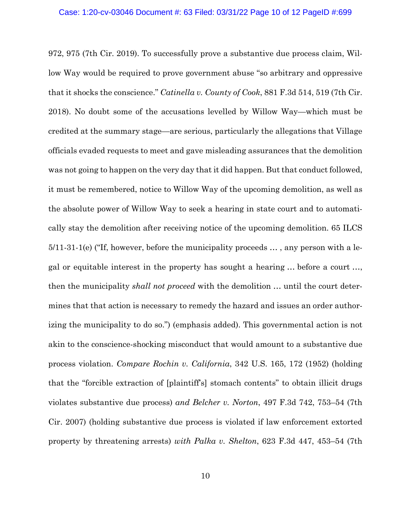972, 975 (7th Cir. 2019). To successfully prove a substantive due process claim, Willow Way would be required to prove government abuse "so arbitrary and oppressive that it shocks the conscience." *Catinella v. County of Cook*, 881 F.3d 514, 519 (7th Cir. 2018). No doubt some of the accusations levelled by Willow Way—which must be credited at the summary stage—are serious, particularly the allegations that Village officials evaded requests to meet and gave misleading assurances that the demolition was not going to happen on the very day that it did happen. But that conduct followed, it must be remembered, notice to Willow Way of the upcoming demolition, as well as the absolute power of Willow Way to seek a hearing in state court and to automatically stay the demolition after receiving notice of the upcoming demolition. 65 ILCS 5/11-31-1(e) ("If, however, before the municipality proceeds … , any person with a legal or equitable interest in the property has sought a hearing … before a court …, then the municipality *shall not proceed* with the demolition … until the court determines that that action is necessary to remedy the hazard and issues an order authorizing the municipality to do so.") (emphasis added). This governmental action is not akin to the conscience-shocking misconduct that would amount to a substantive due process violation. *Compare Rochin v. California*, 342 U.S. 165, 172 (1952) (holding that the "forcible extraction of [plaintiff's] stomach contents" to obtain illicit drugs violates substantive due process) *and Belcher v. Norton*, 497 F.3d 742, 753–54 (7th Cir. 2007) (holding substantive due process is violated if law enforcement extorted property by threatening arrests) *with Palka v. Shelton*, 623 F.3d 447, 453–54 (7th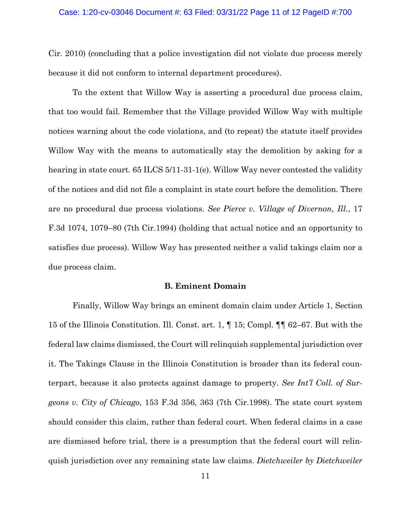#### Case: 1:20-cv-03046 Document #: 63 Filed: 03/31/22 Page 11 of 12 PageID #:700

Cir. 2010) (concluding that a police investigation did not violate due process merely because it did not conform to internal department procedures).

To the extent that Willow Way is asserting a procedural due process claim, that too would fail. Remember that the Village provided Willow Way with multiple notices warning about the code violations, and (to repeat) the statute itself provides Willow Way with the means to automatically stay the demolition by asking for a hearing in state court. 65 ILCS 5/11-31-1(e). Willow Way never contested the validity of the notices and did not file a complaint in state court before the demolition. There are no procedural due process violations. *See Pierce v. Village of Divernon, Ill.*, 17 F.3d 1074, 1079–80 (7th Cir.1994) (holding that actual notice and an opportunity to satisfies due process). Willow Way has presented neither a valid takings claim nor a due process claim.

### **B. Eminent Domain**

 Finally, Willow Way brings an eminent domain claim under Article 1, Section 15 of the Illinois Constitution. Ill. Const. art. 1, ¶ 15; Compl. ¶¶ 62–67. But with the federal law claims dismissed, the Court will relinquish supplemental jurisdiction over it. The Takings Clause in the Illinois Constitution is broader than its federal counterpart, because it also protects against damage to property. *See Int'l Coll. of Surgeons v. City of Chicago*, 153 F.3d 356, 363 (7th Cir.1998). The state court system should consider this claim, rather than federal court. When federal claims in a case are dismissed before trial, there is a presumption that the federal court will relinquish jurisdiction over any remaining state law claims. *Dietchweiler by Dietchweiler*